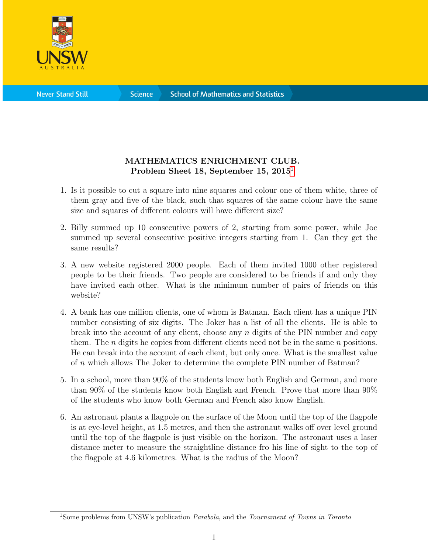

**Science** 

## MATHEMATICS ENRICHMENT CLUB. Problem Sheet [1](#page-0-0)8, September 15, 2015<sup>1</sup>

- 1. Is it possible to cut a square into nine squares and colour one of them white, three of them gray and five of the black, such that squares of the same colour have the same size and squares of different colours will have different size?
- 2. Billy summed up 10 consecutive powers of 2, starting from some power, while Joe summed up several consecutive positive integers starting from 1. Can they get the same results?
- 3. A new website registered 2000 people. Each of them invited 1000 other registered people to be their friends. Two people are considered to be friends if and only they have invited each other. What is the minimum number of pairs of friends on this website?
- 4. A bank has one million clients, one of whom is Batman. Each client has a unique PIN number consisting of six digits. The Joker has a list of all the clients. He is able to break into the account of any client, choose any  $n$  digits of the PIN number and copy them. The *n* digits he copies from different clients need not be in the same *n* positions. He can break into the account of each client, but only once. What is the smallest value of n which allows The Joker to determine the complete PIN number of Batman?
- 5. In a school, more than 90% of the students know both English and German, and more than 90% of the students know both English and French. Prove that more than 90% of the students who know both German and French also know English.
- 6. An astronaut plants a flagpole on the surface of the Moon until the top of the flagpole is at eye-level height, at 1.5 metres, and then the astronaut walks off over level ground until the top of the flagpole is just visible on the horizon. The astronaut uses a laser distance meter to measure the straightline distance fro his line of sight to the top of the flagpole at 4.6 kilometres. What is the radius of the Moon?

<span id="page-0-0"></span><sup>&</sup>lt;sup>1</sup>Some problems from UNSW's publication *Parabola*, and the *Tournament of Towns in Toronto*